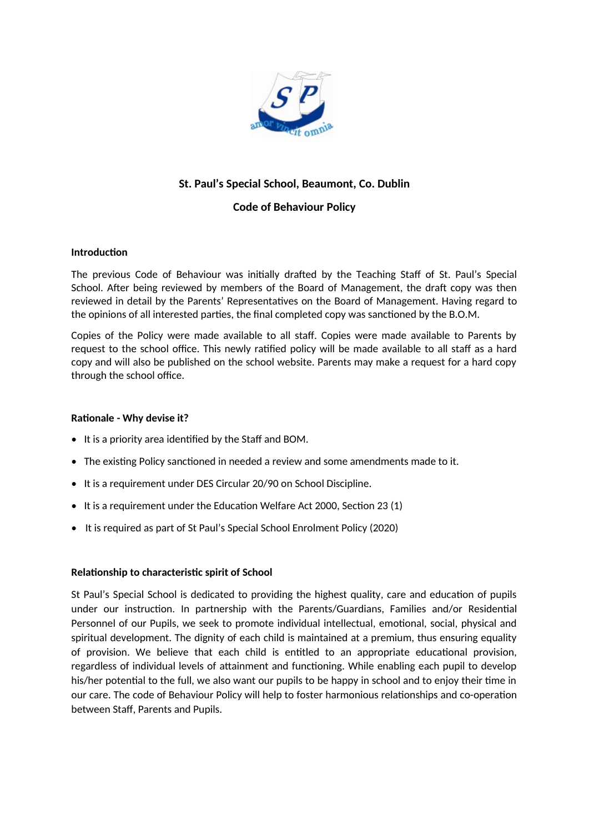

# **St. Paul's Special School, Beaumont, Co. Dublin**

# **Code of Behaviour Policy**

### **Introduction**

The previous Code of Behaviour was initially drafted by the Teaching Staff of St. Paul's Special School. After being reviewed by members of the Board of Management, the draft copy was then reviewed in detail by the Parents' Representatives on the Board of Management. Having regard to the opinions of all interested parties, the final completed copy was sanctioned by the B.O.M.

Copies of the Policy were made available to all staff. Copies were made available to Parents by request to the school office. This newly ratified policy will be made available to all staff as a hard copy and will also be published on the school website. Parents may make a request for a hard copy through the school office.

#### **Rationale - Why devise it?**

- It is a priority area identified by the Staff and BOM.
- The existing Policy sanctioned in needed a review and some amendments made to it.
- It is a requirement under DES Circular 20/90 on School Discipline.
- It is a requirement under the Education Welfare Act 2000, Section 23 (1)
- It is required as part of St Paul's Special School Enrolment Policy (2020)

# **Relationship to characteristic spirit of School**

St Paul's Special School is dedicated to providing the highest quality, care and education of pupils under our instruction. In partnership with the Parents/Guardians, Families and/or Residential Personnel of our Pupils, we seek to promote individual intellectual, emotional, social, physical and spiritual development. The dignity of each child is maintained at a premium, thus ensuring equality of provision. We believe that each child is entitled to an appropriate educational provision, regardless of individual levels of attainment and functioning. While enabling each pupil to develop his/her potential to the full, we also want our pupils to be happy in school and to enjoy their time in our care. The code of Behaviour Policy will help to foster harmonious relationships and co-operation between Staff, Parents and Pupils.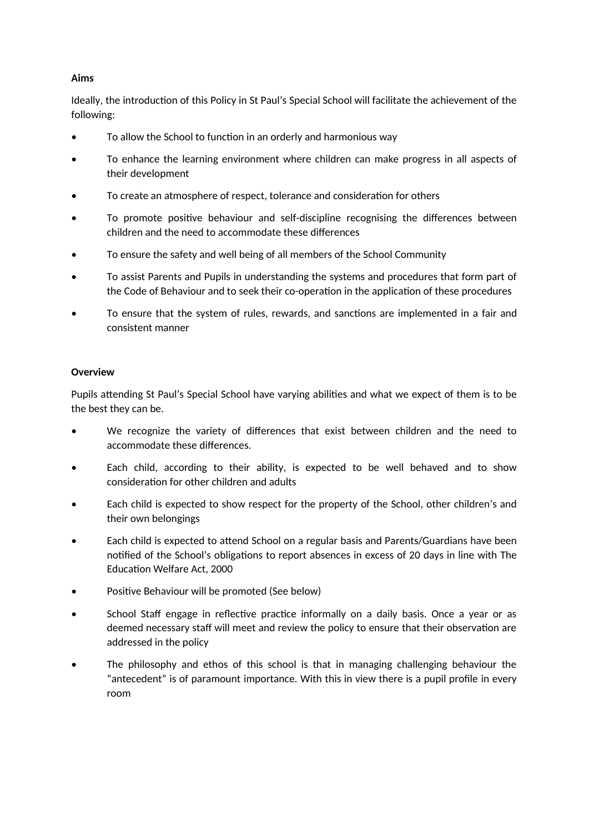# **Aims**

Ideally, the introduction of this Policy in St Paul's Special School will facilitate the achievement of the following:

- To allow the School to function in an orderly and harmonious way
- To enhance the learning environment where children can make progress in all aspects of their development
- To create an atmosphere of respect, tolerance and consideration for others
- To promote positive behaviour and self-discipline recognising the differences between children and the need to accommodate these differences
- To ensure the safety and well being of all members of the School Community
- To assist Parents and Pupils in understanding the systems and procedures that form part of the Code of Behaviour and to seek their co-operation in the application of these procedures
- To ensure that the system of rules, rewards, and sanctions are implemented in a fair and consistent manner

### **Overview**

Pupils attending St Paul's Special School have varying abilities and what we expect of them is to be the best they can be.

- We recognize the variety of differences that exist between children and the need to accommodate these differences.
- Each child, according to their ability, is expected to be well behaved and to show consideration for other children and adults
- Each child is expected to show respect for the property of the School, other children's and their own belongings
- Each child is expected to attend School on a regular basis and Parents/Guardians have been notified of the School's obligations to report absences in excess of 20 days in line with The Education Welfare Act, 2000
- Positive Behaviour will be promoted (See below)
- School Staff engage in reflective practice informally on a daily basis. Once a year or as deemed necessary staff will meet and review the policy to ensure that their observation are addressed in the policy
- The philosophy and ethos of this school is that in managing challenging behaviour the "antecedent" is of paramount importance. With this in view there is a pupil profile in every room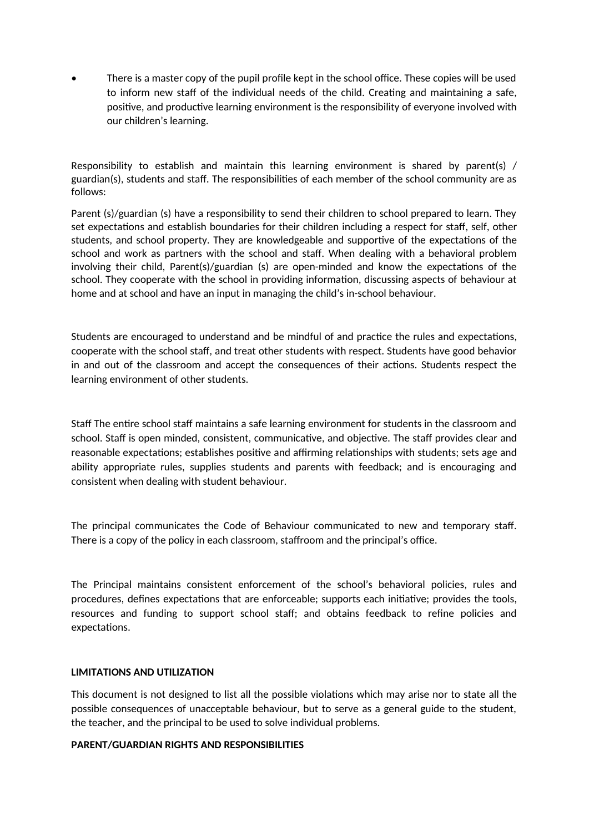• There is a master copy of the pupil profile kept in the school office. These copies will be used to inform new staff of the individual needs of the child. Creating and maintaining a safe, positive, and productive learning environment is the responsibility of everyone involved with our children's learning.

Responsibility to establish and maintain this learning environment is shared by parent(s) / guardian(s), students and staff. The responsibilities of each member of the school community are as follows:

Parent (s)/guardian (s) have a responsibility to send their children to school prepared to learn. They set expectations and establish boundaries for their children including a respect for staff, self, other students, and school property. They are knowledgeable and supportive of the expectations of the school and work as partners with the school and staff. When dealing with a behavioral problem involving their child, Parent(s)/guardian (s) are open-minded and know the expectations of the school. They cooperate with the school in providing information, discussing aspects of behaviour at home and at school and have an input in managing the child's in-school behaviour.

Students are encouraged to understand and be mindful of and practice the rules and expectations, cooperate with the school staff, and treat other students with respect. Students have good behavior in and out of the classroom and accept the consequences of their actions. Students respect the learning environment of other students.

Staff The entire school staff maintains a safe learning environment for students in the classroom and school. Staff is open minded, consistent, communicative, and objective. The staff provides clear and reasonable expectations; establishes positive and affirming relationships with students; sets age and ability appropriate rules, supplies students and parents with feedback; and is encouraging and consistent when dealing with student behaviour.

The principal communicates the Code of Behaviour communicated to new and temporary staff. There is a copy of the policy in each classroom, staffroom and the principal's office.

The Principal maintains consistent enforcement of the school's behavioral policies, rules and procedures, defines expectations that are enforceable; supports each initiative; provides the tools, resources and funding to support school staff; and obtains feedback to refine policies and expectations.

#### **LIMITATIONS AND UTILIZATION**

This document is not designed to list all the possible violations which may arise nor to state all the possible consequences of unacceptable behaviour, but to serve as a general guide to the student, the teacher, and the principal to be used to solve individual problems.

#### **PARENT/GUARDIAN RIGHTS AND RESPONSIBILITIES**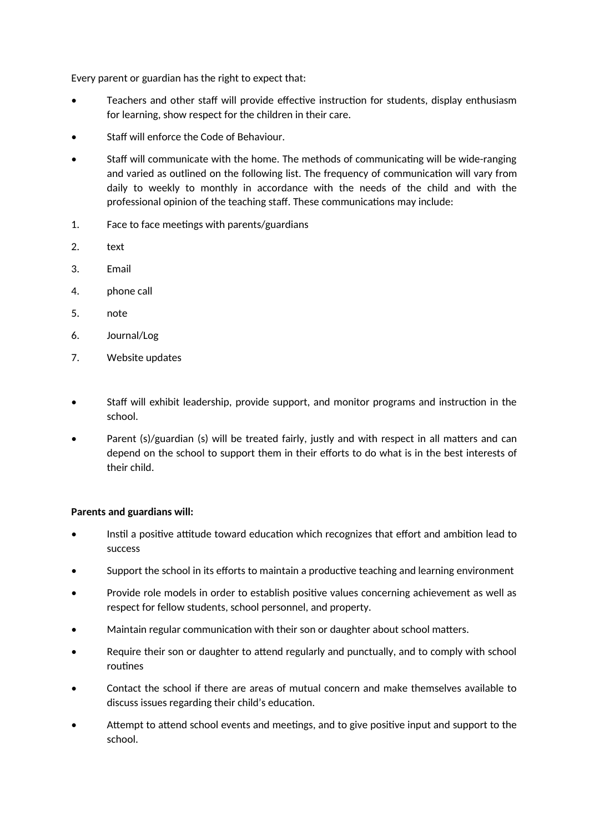Every parent or guardian has the right to expect that:

- Teachers and other staff will provide effective instruction for students, display enthusiasm for learning, show respect for the children in their care.
- Staff will enforce the Code of Behaviour.
- Staff will communicate with the home. The methods of communicating will be wide-ranging and varied as outlined on the following list. The frequency of communication will vary from daily to weekly to monthly in accordance with the needs of the child and with the professional opinion of the teaching staff. These communications may include:
- 1. Face to face meetings with parents/guardians
- 2. text
- 3. Email
- 4. phone call
- 5. note
- 6. Journal/Log
- 7. Website updates
- Staff will exhibit leadership, provide support, and monitor programs and instruction in the school.
- Parent (s)/guardian (s) will be treated fairly, justly and with respect in all matters and can depend on the school to support them in their efforts to do what is in the best interests of their child.

# **Parents and guardians will:**

- Instil a positive attitude toward education which recognizes that effort and ambition lead to success
- Support the school in its efforts to maintain a productive teaching and learning environment
- Provide role models in order to establish positive values concerning achievement as well as respect for fellow students, school personnel, and property.
- Maintain regular communication with their son or daughter about school matters.
- Require their son or daughter to attend regularly and punctually, and to comply with school routines
- Contact the school if there are areas of mutual concern and make themselves available to discuss issues regarding their child's education.
- Attempt to attend school events and meetings, and to give positive input and support to the school.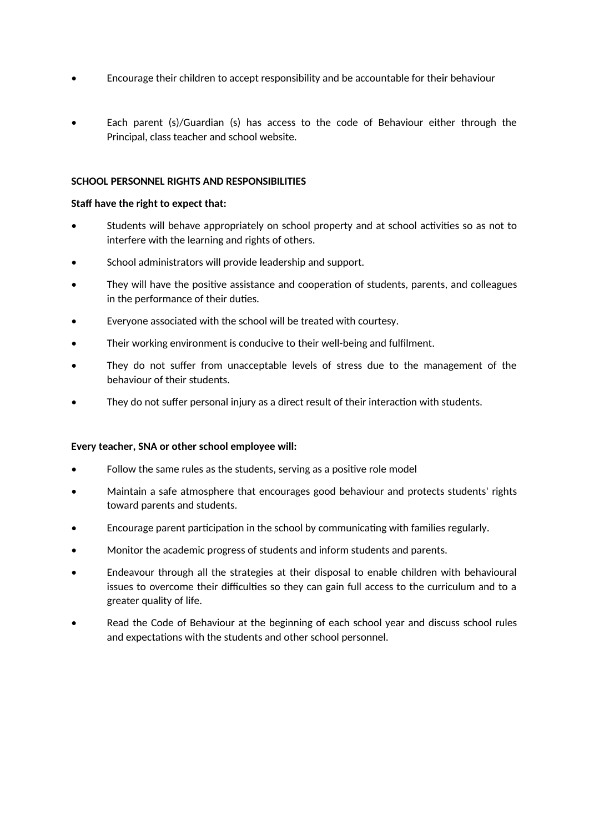- Encourage their children to accept responsibility and be accountable for their behaviour
- Each parent (s)/Guardian (s) has access to the code of Behaviour either through the Principal, class teacher and school website.

### **SCHOOL PERSONNEL RIGHTS AND RESPONSIBILITIES**

#### **Staff have the right to expect that:**

- Students will behave appropriately on school property and at school activities so as not to interfere with the learning and rights of others.
- School administrators will provide leadership and support.
- They will have the positive assistance and cooperation of students, parents, and colleagues in the performance of their duties.
- Everyone associated with the school will be treated with courtesy.
- Their working environment is conducive to their well-being and fulfilment.
- They do not suffer from unacceptable levels of stress due to the management of the behaviour of their students.
- They do not suffer personal injury as a direct result of their interaction with students.

# **Every teacher, SNA or other school employee will:**

- Follow the same rules as the students, serving as a positive role model
- Maintain a safe atmosphere that encourages good behaviour and protects students' rights toward parents and students.
- Encourage parent participation in the school by communicating with families regularly.
- Monitor the academic progress of students and inform students and parents.
- Endeavour through all the strategies at their disposal to enable children with behavioural issues to overcome their difficulties so they can gain full access to the curriculum and to a greater quality of life.
- Read the Code of Behaviour at the beginning of each school year and discuss school rules and expectations with the students and other school personnel.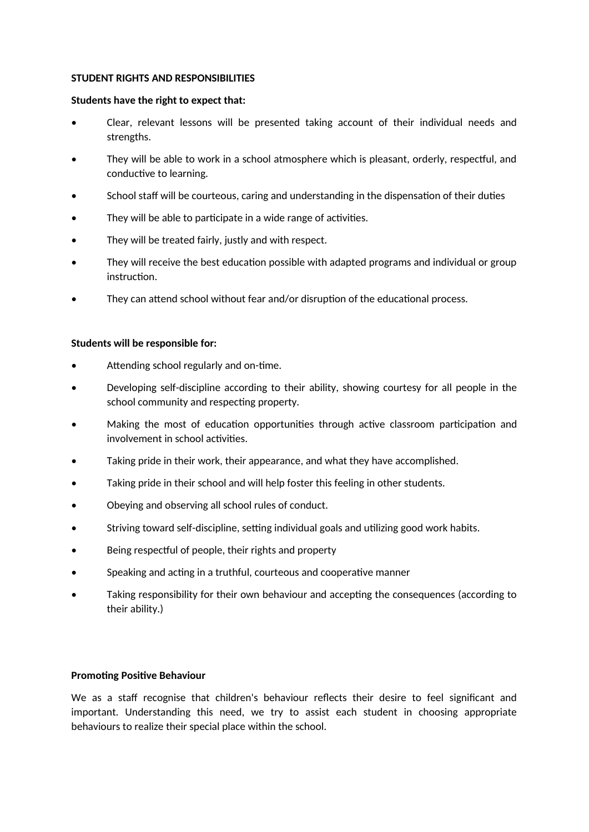#### **STUDENT RIGHTS AND RESPONSIBILITIES**

#### **Students have the right to expect that:**

- Clear, relevant lessons will be presented taking account of their individual needs and strengths.
- They will be able to work in a school atmosphere which is pleasant, orderly, respectful, and conductive to learning.
- School staff will be courteous, caring and understanding in the dispensation of their duties
- They will be able to participate in a wide range of activities.
- They will be treated fairly, justly and with respect.
- They will receive the best education possible with adapted programs and individual or group instruction.
- They can attend school without fear and/or disruption of the educational process.

#### **Students will be responsible for:**

- Attending school regularly and on-time.
- Developing self-discipline according to their ability, showing courtesy for all people in the school community and respecting property.
- Making the most of education opportunities through active classroom participation and involvement in school activities.
- Taking pride in their work, their appearance, and what they have accomplished.
- Taking pride in their school and will help foster this feeling in other students.
- Obeying and observing all school rules of conduct.
- Striving toward self-discipline, setting individual goals and utilizing good work habits.
- Being respectful of people, their rights and property
- Speaking and acting in a truthful, courteous and cooperative manner
- Taking responsibility for their own behaviour and accepting the consequences (according to their ability.)

#### **Promoting Positive Behaviour**

We as a staff recognise that children's behaviour reflects their desire to feel significant and important. Understanding this need, we try to assist each student in choosing appropriate behaviours to realize their special place within the school.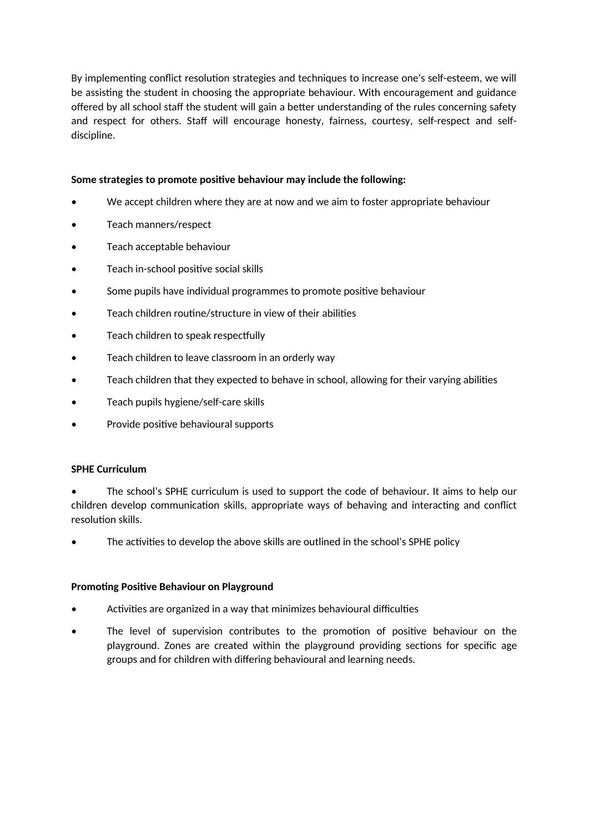By implementing conflict resolution strategies and techniques to increase one's self-esteem, we will be assisting the student in choosing the appropriate behaviour. With encouragement and guidance offered by all school staff the student will gain a better understanding of the rules concerning safety and respect for others. Staff will encourage honesty, fairness, courtesy, self-respect and selfdiscipline.

## **Some strategies to promote positive behaviour may include the following:**

- We accept children where they are at now and we aim to foster appropriate behaviour
- Teach manners/respect
- Teach acceptable behaviour
- Teach in-school positive social skills
- Some pupils have individual programmes to promote positive behaviour
- Teach children routine/structure in view of their abilities
- Teach children to speak respectfully
- Teach children to leave classroom in an orderly way
- Teach children that they expected to behave in school, allowing for their varying abilities
- Teach pupils hygiene/self-care skills
- Provide positive behavioural supports

#### **SPHE Curriculum**

The school's SPHE curriculum is used to support the code of behaviour. It aims to help our children develop communication skills, appropriate ways of behaving and interacting and conflict resolution skills.

• The activities to develop the above skills are outlined in the school's SPHE policy

#### **Promoting Positive Behaviour on Playground**

- Activities are organized in a way that minimizes behavioural difficulties
- The level of supervision contributes to the promotion of positive behaviour on the playground. Zones are created within the playground providing sections for specific age groups and for children with differing behavioural and learning needs.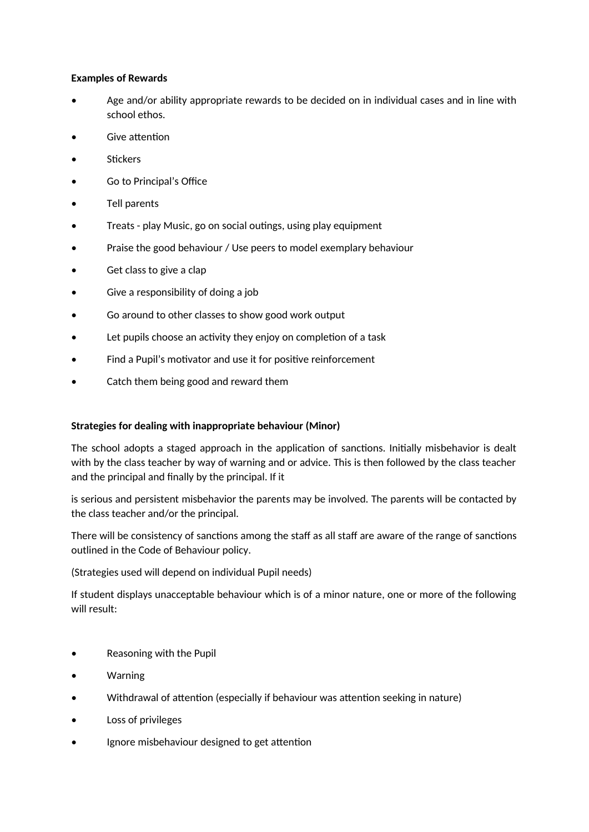## **Examples of Rewards**

- Age and/or ability appropriate rewards to be decided on in individual cases and in line with school ethos.
- Give attention
- **Stickers**
- Go to Principal's Office
- Tell parents
- Treats play Music, go on social outings, using play equipment
- Praise the good behaviour / Use peers to model exemplary behaviour
- Get class to give a clap
- Give a responsibility of doing a job
- Go around to other classes to show good work output
- Let pupils choose an activity they enjoy on completion of a task
- Find a Pupil's motivator and use it for positive reinforcement
- Catch them being good and reward them

#### **Strategies for dealing with inappropriate behaviour (Minor)**

The school adopts a staged approach in the application of sanctions. Initially misbehavior is dealt with by the class teacher by way of warning and or advice. This is then followed by the class teacher and the principal and finally by the principal. If it

is serious and persistent misbehavior the parents may be involved. The parents will be contacted by the class teacher and/or the principal.

There will be consistency of sanctions among the staff as all staff are aware of the range of sanctions outlined in the Code of Behaviour policy.

(Strategies used will depend on individual Pupil needs)

If student displays unacceptable behaviour which is of a minor nature, one or more of the following will result:

- Reasoning with the Pupil
- Warning
- Withdrawal of attention (especially if behaviour was attention seeking in nature)
- Loss of privileges
- Ignore misbehaviour designed to get attention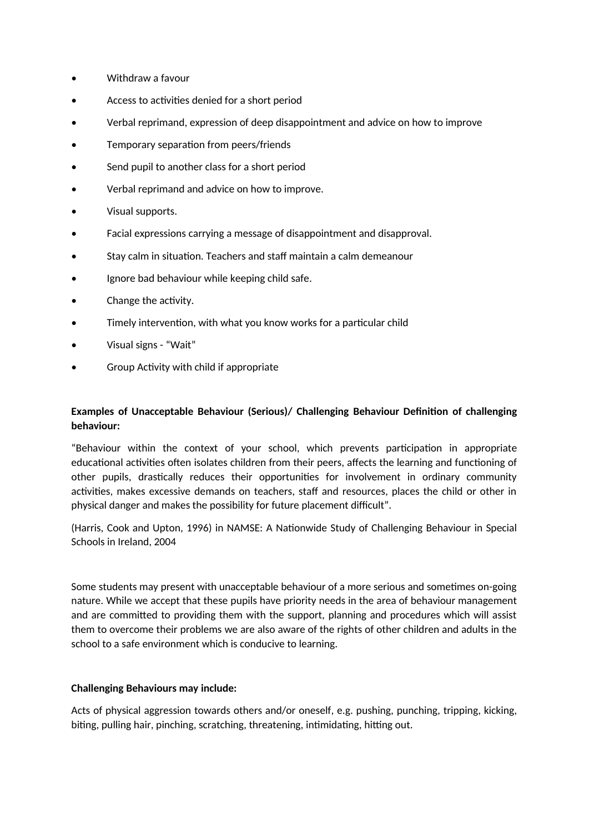- Withdraw a favour
- Access to activities denied for a short period
- Verbal reprimand, expression of deep disappointment and advice on how to improve
- Temporary separation from peers/friends
- Send pupil to another class for a short period
- Verbal reprimand and advice on how to improve.
- Visual supports.
- Facial expressions carrying a message of disappointment and disapproval.
- Stay calm in situation. Teachers and staff maintain a calm demeanour
- Ignore bad behaviour while keeping child safe.
- Change the activity.
- Timely intervention, with what you know works for a particular child
- Visual signs "Wait"
- Group Activity with child if appropriate

# **Examples of Unacceptable Behaviour (Serious)/ Challenging Behaviour Definition of challenging behaviour:**

"Behaviour within the context of your school, which prevents participation in appropriate educational activities often isolates children from their peers, affects the learning and functioning of other pupils, drastically reduces their opportunities for involvement in ordinary community activities, makes excessive demands on teachers, staff and resources, places the child or other in physical danger and makes the possibility for future placement difficult".

(Harris, Cook and Upton, 1996) in NAMSE: A Nationwide Study of Challenging Behaviour in Special Schools in Ireland, 2004

Some students may present with unacceptable behaviour of a more serious and sometimes on-going nature. While we accept that these pupils have priority needs in the area of behaviour management and are committed to providing them with the support, planning and procedures which will assist them to overcome their problems we are also aware of the rights of other children and adults in the school to a safe environment which is conducive to learning.

#### **Challenging Behaviours may include:**

Acts of physical aggression towards others and/or oneself, e.g. pushing, punching, tripping, kicking, biting, pulling hair, pinching, scratching, threatening, intimidating, hitting out.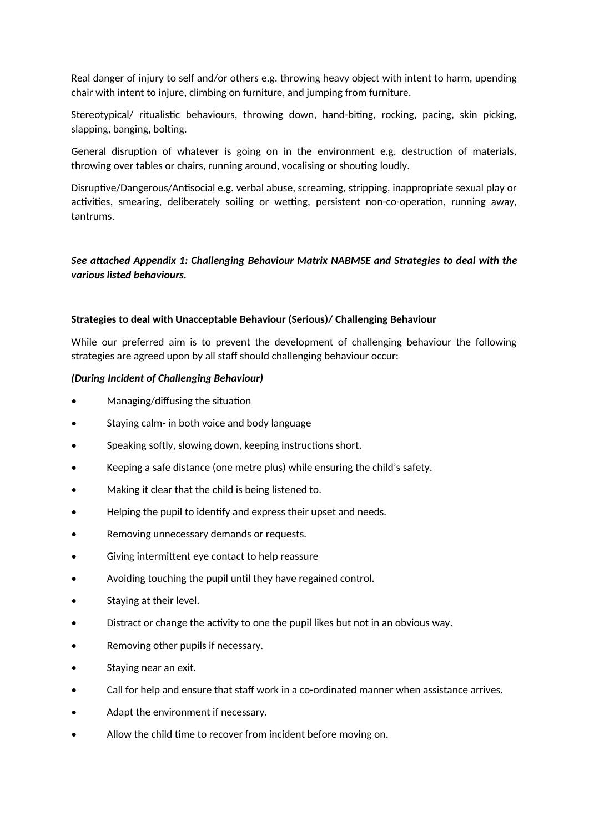Real danger of injury to self and/or others e.g. throwing heavy object with intent to harm, upending chair with intent to injure, climbing on furniture, and jumping from furniture.

Stereotypical/ ritualistic behaviours, throwing down, hand-biting, rocking, pacing, skin picking, slapping, banging, bolting.

General disruption of whatever is going on in the environment e.g. destruction of materials, throwing over tables or chairs, running around, vocalising or shouting loudly.

Disruptive/Dangerous/Antisocial e.g. verbal abuse, screaming, stripping, inappropriate sexual play or activities, smearing, deliberately soiling or wetting, persistent non-co-operation, running away, tantrums.

# *See attached Appendix 1: Challenging Behaviour Matrix NABMSE and Strategies to deal with the various listed behaviours.*

### **Strategies to deal with Unacceptable Behaviour (Serious)/ Challenging Behaviour**

While our preferred aim is to prevent the development of challenging behaviour the following strategies are agreed upon by all staff should challenging behaviour occur:

#### *(During Incident of Challenging Behaviour)*

- Managing/diffusing the situation
- Staying calm- in both voice and body language
- Speaking softly, slowing down, keeping instructions short.
- Keeping a safe distance (one metre plus) while ensuring the child's safety.
- Making it clear that the child is being listened to.
- Helping the pupil to identify and express their upset and needs.
- Removing unnecessary demands or requests.
- Giving intermittent eye contact to help reassure
- Avoiding touching the pupil until they have regained control.
- Staying at their level.
- Distract or change the activity to one the pupil likes but not in an obvious way.
- Removing other pupils if necessary.
- Staying near an exit.
- Call for help and ensure that staff work in a co-ordinated manner when assistance arrives.
- Adapt the environment if necessary.
- Allow the child time to recover from incident before moving on.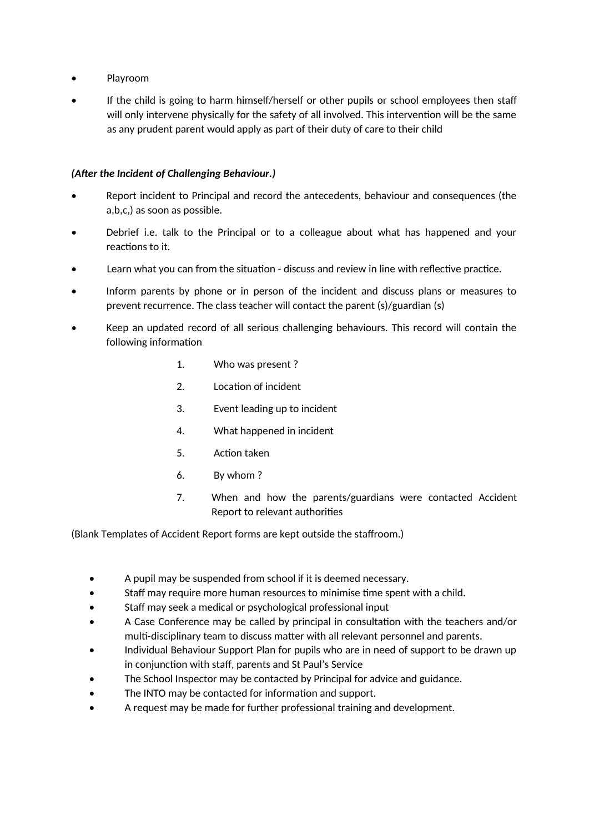- Playroom
- If the child is going to harm himself/herself or other pupils or school employees then staff will only intervene physically for the safety of all involved. This intervention will be the same as any prudent parent would apply as part of their duty of care to their child

# *(After the Incident of Challenging Behaviour.)*

- Report incident to Principal and record the antecedents, behaviour and consequences (the a,b,c,) as soon as possible.
- Debrief i.e. talk to the Principal or to a colleague about what has happened and your reactions to it.
- Learn what you can from the situation discuss and review in line with reflective practice.
- Inform parents by phone or in person of the incident and discuss plans or measures to prevent recurrence. The class teacher will contact the parent (s)/guardian (s)
- Keep an updated record of all serious challenging behaviours. This record will contain the following information
	- 1. Who was present ?
	- 2. Location of incident
	- 3. Event leading up to incident
	- 4. What happened in incident
	- 5. Action taken
	- 6. By whom ?
	- 7. When and how the parents/guardians were contacted Accident Report to relevant authorities

(Blank Templates of Accident Report forms are kept outside the staffroom.)

- A pupil may be suspended from school if it is deemed necessary.
- Staff may require more human resources to minimise time spent with a child.
- Staff may seek a medical or psychological professional input
- A Case Conference may be called by principal in consultation with the teachers and/or multi-disciplinary team to discuss matter with all relevant personnel and parents.
- Individual Behaviour Support Plan for pupils who are in need of support to be drawn up in conjunction with staff, parents and St Paul's Service
- The School Inspector may be contacted by Principal for advice and guidance.
- The INTO may be contacted for information and support.
- A request may be made for further professional training and development.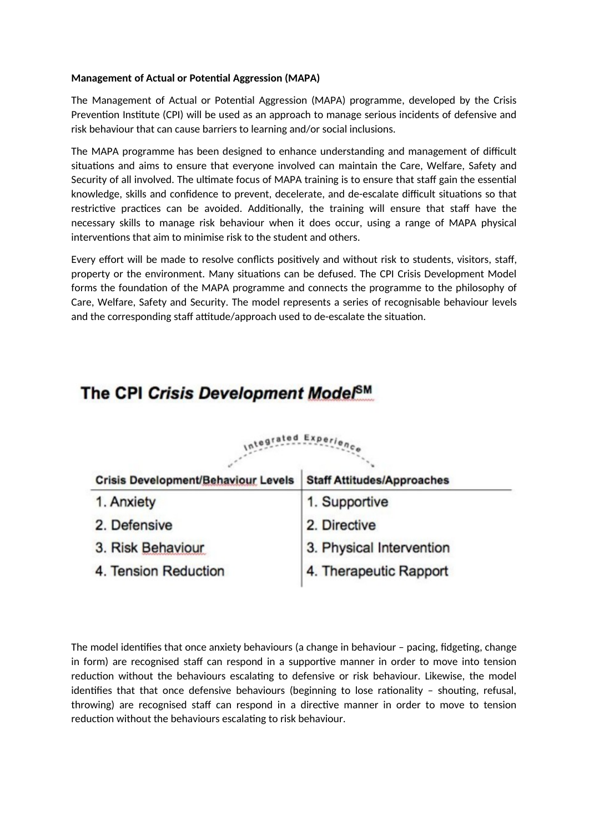#### **Management of Actual or Potential Aggression (MAPA)**

The Management of Actual or Potential Aggression (MAPA) programme, developed by the Crisis Prevention Institute (CPI) will be used as an approach to manage serious incidents of defensive and risk behaviour that can cause barriers to learning and/or social inclusions.

The MAPA programme has been designed to enhance understanding and management of difficult situations and aims to ensure that everyone involved can maintain the Care, Welfare, Safety and Security of all involved. The ultimate focus of MAPA training is to ensure that staff gain the essential knowledge, skills and confidence to prevent, decelerate, and de-escalate difficult situations so that restrictive practices can be avoided. Additionally, the training will ensure that staff have the necessary skills to manage risk behaviour when it does occur, using a range of MAPA physical interventions that aim to minimise risk to the student and others.

Every effort will be made to resolve conflicts positively and without risk to students, visitors, staff, property or the environment. Many situations can be defused. The CPI Crisis Development Model forms the foundation of the MAPA programme and connects the programme to the philosophy of Care, Welfare, Safety and Security. The model represents a series of recognisable behaviour levels and the corresponding staff attitude/approach used to de-escalate the situation.

# The CPI Crisis Development Model<sup>SM</sup>

| ategrature,                                |                                   |  |  |  |
|--------------------------------------------|-----------------------------------|--|--|--|
| <b>Crisis Development/Behaviour Levels</b> | <b>Staff Attitudes/Approaches</b> |  |  |  |
| 1. Anxiety                                 | 1. Supportive                     |  |  |  |
| 2. Defensive                               | 2. Directive                      |  |  |  |
| 3. Risk Behaviour                          | 3. Physical Intervention          |  |  |  |
| 4. Tension Reduction                       | 4. Therapeutic Rapport            |  |  |  |

 $...$ tad Even.

The model identifies that once anxiety behaviours (a change in behaviour – pacing, fidgeting, change in form) are recognised staff can respond in a supportive manner in order to move into tension reduction without the behaviours escalating to defensive or risk behaviour. Likewise, the model identifies that that once defensive behaviours (beginning to lose rationality – shouting, refusal, throwing) are recognised staff can respond in a directive manner in order to move to tension reduction without the behaviours escalating to risk behaviour.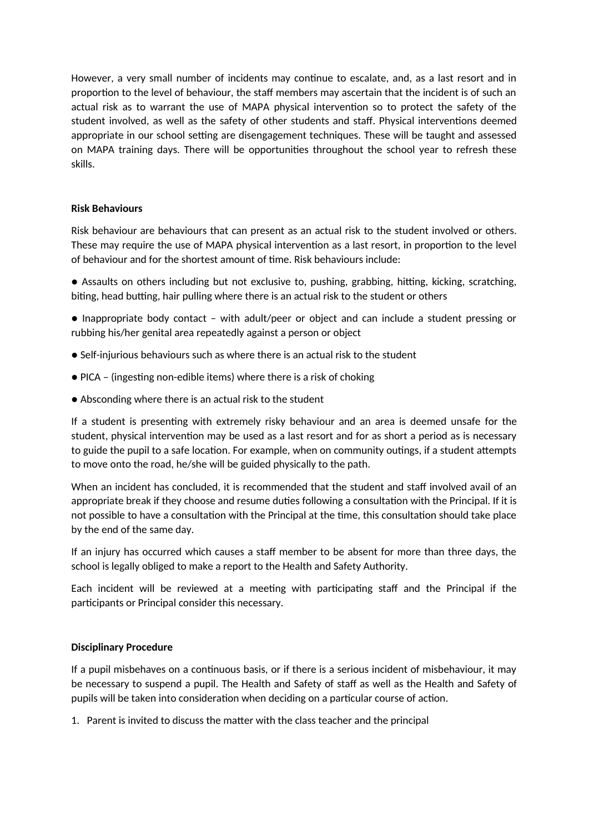However, a very small number of incidents may continue to escalate, and, as a last resort and in proportion to the level of behaviour, the staff members may ascertain that the incident is of such an actual risk as to warrant the use of MAPA physical intervention so to protect the safety of the student involved, as well as the safety of other students and staff. Physical interventions deemed appropriate in our school setting are disengagement techniques. These will be taught and assessed on MAPA training days. There will be opportunities throughout the school year to refresh these skills.

#### **Risk Behaviours**

Risk behaviour are behaviours that can present as an actual risk to the student involved or others. These may require the use of MAPA physical intervention as a last resort, in proportion to the level of behaviour and for the shortest amount of time. Risk behaviours include:

● Assaults on others including but not exclusive to, pushing, grabbing, hitting, kicking, scratching, biting, head butting, hair pulling where there is an actual risk to the student or others

● Inappropriate body contact – with adult/peer or object and can include a student pressing or rubbing his/her genital area repeatedly against a person or object

- Self-injurious behaviours such as where there is an actual risk to the student
- PICA (ingesting non-edible items) where there is a risk of choking
- Absconding where there is an actual risk to the student

If a student is presenting with extremely risky behaviour and an area is deemed unsafe for the student, physical intervention may be used as a last resort and for as short a period as is necessary to guide the pupil to a safe location. For example, when on community outings, if a student attempts to move onto the road, he/she will be guided physically to the path.

When an incident has concluded, it is recommended that the student and staff involved avail of an appropriate break if they choose and resume duties following a consultation with the Principal. If it is not possible to have a consultation with the Principal at the time, this consultation should take place by the end of the same day.

If an injury has occurred which causes a staff member to be absent for more than three days, the school is legally obliged to make a report to the Health and Safety Authority.

Each incident will be reviewed at a meeting with participating staff and the Principal if the participants or Principal consider this necessary.

#### **Disciplinary Procedure**

If a pupil misbehaves on a continuous basis, or if there is a serious incident of misbehaviour, it may be necessary to suspend a pupil. The Health and Safety of staff as well as the Health and Safety of pupils will be taken into consideration when deciding on a particular course of action.

1. Parent is invited to discuss the matter with the class teacher and the principal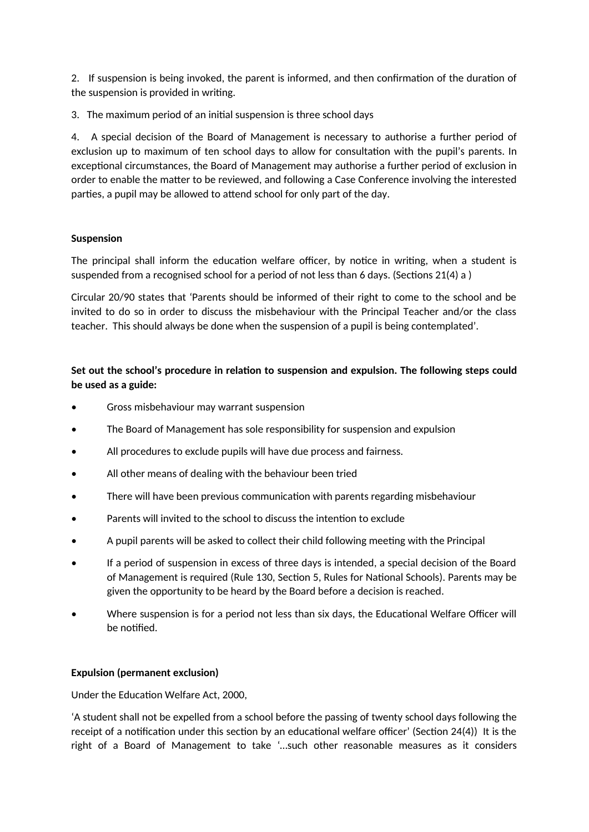2. If suspension is being invoked, the parent is informed, and then confirmation of the duration of the suspension is provided in writing.

3. The maximum period of an initial suspension is three school days

4. A special decision of the Board of Management is necessary to authorise a further period of exclusion up to maximum of ten school days to allow for consultation with the pupil's parents. In exceptional circumstances, the Board of Management may authorise a further period of exclusion in order to enable the matter to be reviewed, and following a Case Conference involving the interested parties, a pupil may be allowed to attend school for only part of the day.

### **Suspension**

The principal shall inform the education welfare officer, by notice in writing, when a student is suspended from a recognised school for a period of not less than 6 days. (Sections 21(4) a )

Circular 20/90 states that 'Parents should be informed of their right to come to the school and be invited to do so in order to discuss the misbehaviour with the Principal Teacher and/or the class teacher. This should always be done when the suspension of a pupil is being contemplated'.

# **Set out the school's procedure in relation to suspension and expulsion. The following steps could be used as a guide:**

- Gross misbehaviour may warrant suspension
- The Board of Management has sole responsibility for suspension and expulsion
- All procedures to exclude pupils will have due process and fairness.
- All other means of dealing with the behaviour been tried
- There will have been previous communication with parents regarding misbehaviour
- Parents will invited to the school to discuss the intention to exclude
- A pupil parents will be asked to collect their child following meeting with the Principal
- If a period of suspension in excess of three days is intended, a special decision of the Board of Management is required (Rule 130, Section 5, Rules for National Schools). Parents may be given the opportunity to be heard by the Board before a decision is reached.
- Where suspension is for a period not less than six days, the Educational Welfare Officer will be notified.

#### **Expulsion (permanent exclusion)**

Under the Education Welfare Act, 2000,

'A student shall not be expelled from a school before the passing of twenty school days following the receipt of a notification under this section by an educational welfare officer' (Section 24(4)) It is the right of a Board of Management to take '…such other reasonable measures as it considers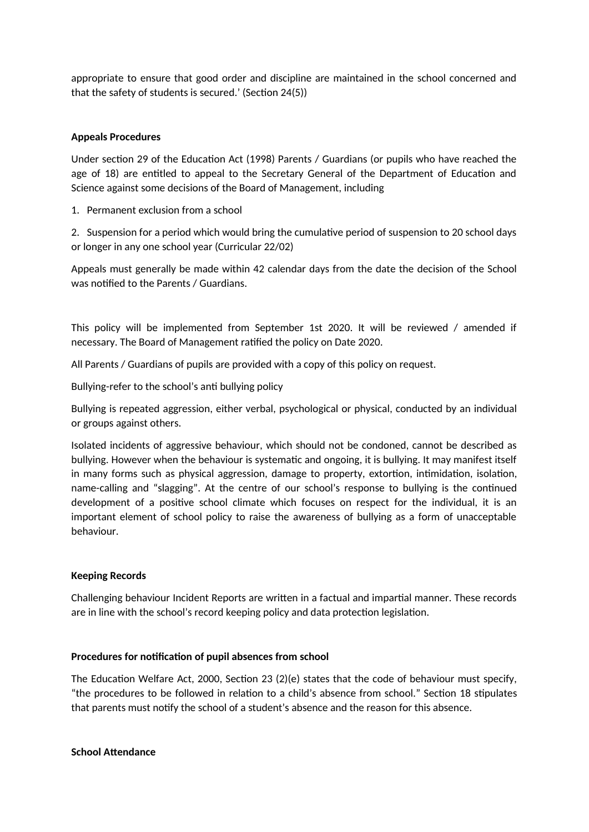appropriate to ensure that good order and discipline are maintained in the school concerned and that the safety of students is secured.' (Section 24(5))

### **Appeals Procedures**

Under section 29 of the Education Act (1998) Parents / Guardians (or pupils who have reached the age of 18) are entitled to appeal to the Secretary General of the Department of Education and Science against some decisions of the Board of Management, including

1. Permanent exclusion from a school

2. Suspension for a period which would bring the cumulative period of suspension to 20 school days or longer in any one school year (Curricular 22/02)

Appeals must generally be made within 42 calendar days from the date the decision of the School was notified to the Parents / Guardians.

This policy will be implemented from September 1st 2020. It will be reviewed / amended if necessary. The Board of Management ratified the policy on Date 2020.

All Parents / Guardians of pupils are provided with a copy of this policy on request.

Bullying-refer to the school's anti bullying policy

Bullying is repeated aggression, either verbal, psychological or physical, conducted by an individual or groups against others.

Isolated incidents of aggressive behaviour, which should not be condoned, cannot be described as bullying. However when the behaviour is systematic and ongoing, it is bullying. It may manifest itself in many forms such as physical aggression, damage to property, extortion, intimidation, isolation, name-calling and "slagging". At the centre of our school's response to bullying is the continued development of a positive school climate which focuses on respect for the individual, it is an important element of school policy to raise the awareness of bullying as a form of unacceptable behaviour.

#### **Keeping Records**

Challenging behaviour Incident Reports are written in a factual and impartial manner. These records are in line with the school's record keeping policy and data protection legislation.

#### **Procedures for notification of pupil absences from school**

The Education Welfare Act, 2000, Section 23 (2)(e) states that the code of behaviour must specify, "the procedures to be followed in relation to a child's absence from school." Section 18 stipulates that parents must notify the school of a student's absence and the reason for this absence.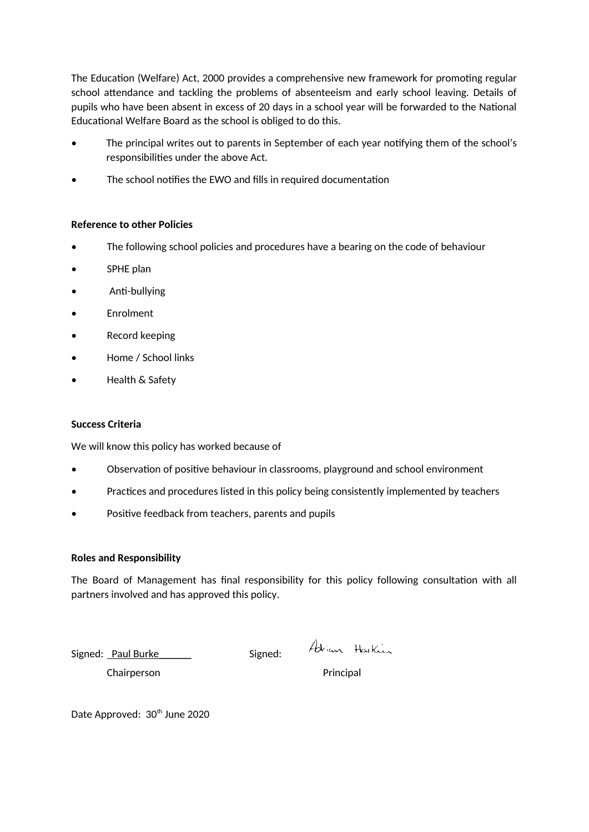The Education (Welfare) Act, 2000 provides a comprehensive new framework for promoting regular school attendance and tackling the problems of absenteeism and early school leaving. Details of pupils who have been absent in excess of 20 days in a school year will be forwarded to the National Educational Welfare Board as the school is obliged to do this.

- The principal writes out to parents in September of each year notifying them of the school's responsibilities under the above Act.
- The school notifies the EWO and fills in required documentation

# **Reference to other Policies**

- The following school policies and procedures have a bearing on the code of behaviour
- SPHE plan
- Anti-bullying
- Enrolment
- Record keeping
- Home / School links
- Health & Safety

# **Success Criteria**

We will know this policy has worked because of

- Observation of positive behaviour in classrooms, playground and school environment
- Practices and procedures listed in this policy being consistently implemented by teachers
- Positive feedback from teachers, parents and pupils

#### **Roles and Responsibility**

The Board of Management has final responsibility for this policy following consultation with all partners involved and has approved this policy.

Signed: Paul Burke \_\_\_\_\_ Signed:

Adjan Harking

Chairperson **Principal** 

Date Approved: 30<sup>th</sup> June 2020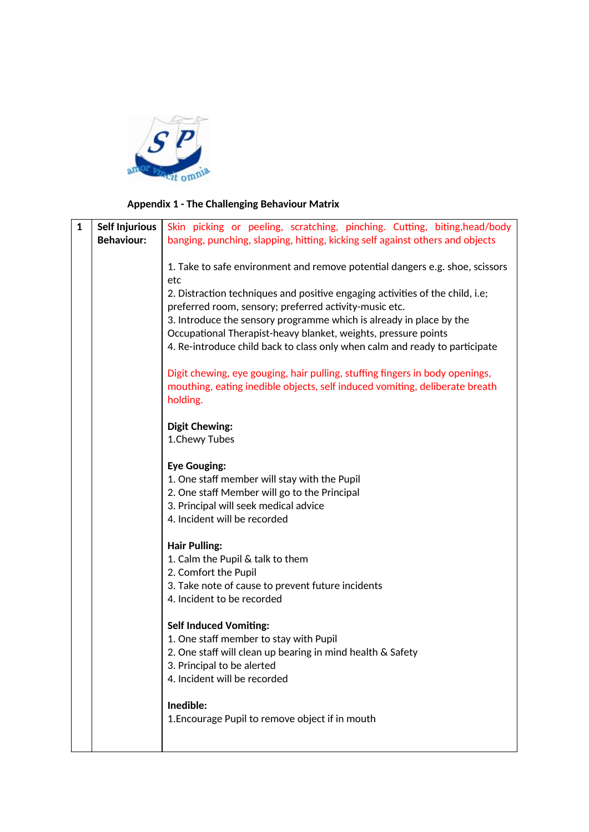

# **Appendix 1 - The Challenging Behaviour Matrix**

| $\mathbf{1}$ | <b>Self Injurious</b> | Skin picking or peeling, scratching, pinching. Cutting, biting, head/body                                                                                                                                                                                                                                                                                                                                                                                                                                                                                                                                                                                                                                                                                                                                                                                                                                                                                                                                                                                                                                                                                                                                                                                                                                                                   |
|--------------|-----------------------|---------------------------------------------------------------------------------------------------------------------------------------------------------------------------------------------------------------------------------------------------------------------------------------------------------------------------------------------------------------------------------------------------------------------------------------------------------------------------------------------------------------------------------------------------------------------------------------------------------------------------------------------------------------------------------------------------------------------------------------------------------------------------------------------------------------------------------------------------------------------------------------------------------------------------------------------------------------------------------------------------------------------------------------------------------------------------------------------------------------------------------------------------------------------------------------------------------------------------------------------------------------------------------------------------------------------------------------------|
|              | <b>Behaviour:</b>     | banging, punching, slapping, hitting, kicking self against others and objects<br>1. Take to safe environment and remove potential dangers e.g. shoe, scissors<br>etc<br>2. Distraction techniques and positive engaging activities of the child, i.e;<br>preferred room, sensory; preferred activity-music etc.<br>3. Introduce the sensory programme which is already in place by the<br>Occupational Therapist-heavy blanket, weights, pressure points<br>4. Re-introduce child back to class only when calm and ready to participate<br>Digit chewing, eye gouging, hair pulling, stuffing fingers in body openings,<br>mouthing, eating inedible objects, self induced vomiting, deliberate breath<br>holding.<br><b>Digit Chewing:</b><br>1. Chewy Tubes<br><b>Eye Gouging:</b><br>1. One staff member will stay with the Pupil<br>2. One staff Member will go to the Principal<br>3. Principal will seek medical advice<br>4. Incident will be recorded<br><b>Hair Pulling:</b><br>1. Calm the Pupil & talk to them<br>2. Comfort the Pupil<br>3. Take note of cause to prevent future incidents<br>4. Incident to be recorded<br><b>Self Induced Vomiting:</b><br>1. One staff member to stay with Pupil<br>2. One staff will clean up bearing in mind health & Safety<br>3. Principal to be alerted<br>4. Incident will be recorded |
|              |                       | Inedible:<br>1. Encourage Pupil to remove object if in mouth                                                                                                                                                                                                                                                                                                                                                                                                                                                                                                                                                                                                                                                                                                                                                                                                                                                                                                                                                                                                                                                                                                                                                                                                                                                                                |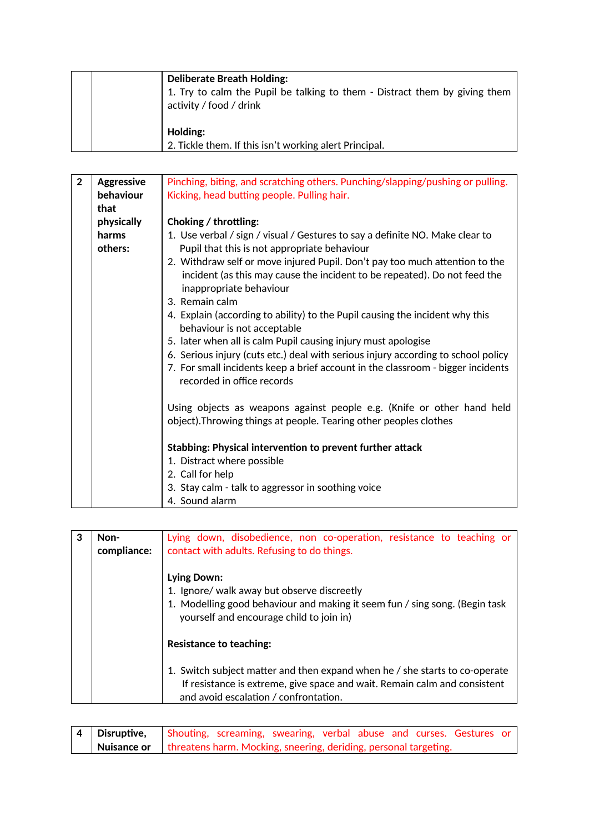|  | <b>Deliberate Breath Holding:</b>                                          |
|--|----------------------------------------------------------------------------|
|  | 1. Try to calm the Pupil be talking to them - Distract them by giving them |
|  | activity / food / drink                                                    |
|  |                                                                            |
|  | Holding:                                                                   |
|  | 2. Tickle them. If this isn't working alert Principal.                     |

| $\overline{2}$ | <b>Aggressive</b> | Pinching, biting, and scratching others. Punching/slapping/pushing or pulling.                                                                                                                        |
|----------------|-------------------|-------------------------------------------------------------------------------------------------------------------------------------------------------------------------------------------------------|
|                | behaviour         | Kicking, head butting people. Pulling hair.                                                                                                                                                           |
|                | that              |                                                                                                                                                                                                       |
|                | physically        | Choking / throttling:                                                                                                                                                                                 |
|                | harms<br>others:  | 1. Use verbal / sign / visual / Gestures to say a definite NO. Make clear to<br>Pupil that this is not appropriate behaviour                                                                          |
|                |                   | 2. Withdraw self or move injured Pupil. Don't pay too much attention to the<br>incident (as this may cause the incident to be repeated). Do not feed the<br>inappropriate behaviour<br>3. Remain calm |
|                |                   | 4. Explain (according to ability) to the Pupil causing the incident why this<br>behaviour is not acceptable                                                                                           |
|                |                   | 5. later when all is calm Pupil causing injury must apologise                                                                                                                                         |
|                |                   | 6. Serious injury (cuts etc.) deal with serious injury according to school policy<br>7. For small incidents keep a brief account in the classroom - bigger incidents<br>recorded in office records    |
|                |                   | Using objects as weapons against people e.g. (Knife or other hand held<br>object). Throwing things at people. Tearing other peoples clothes                                                           |
|                |                   | Stabbing: Physical intervention to prevent further attack                                                                                                                                             |
|                |                   | 1. Distract where possible                                                                                                                                                                            |
|                |                   | 2. Call for help                                                                                                                                                                                      |
|                |                   | 3. Stay calm - talk to aggressor in soothing voice                                                                                                                                                    |
|                |                   | 4. Sound alarm                                                                                                                                                                                        |

| 3 | Non-<br>compliance: | Lying down, disobedience, non co-operation, resistance to teaching or<br>contact with adults. Refusing to do things.                                                                              |
|---|---------------------|---------------------------------------------------------------------------------------------------------------------------------------------------------------------------------------------------|
|   |                     | Lying Down:<br>1. Ignore/ walk away but observe discreetly<br>1. Modelling good behaviour and making it seem fun / sing song. (Begin task<br>yourself and encourage child to join in)             |
|   |                     | <b>Resistance to teaching:</b>                                                                                                                                                                    |
|   |                     | 1. Switch subject matter and then expand when he / she starts to co-operate<br>If resistance is extreme, give space and wait. Remain calm and consistent<br>and avoid escalation / confrontation. |

| 4 Disruptive, Shouting, screaming, swearing, verbal abuse and curses. Gestures or |  |  |  |  |  |
|-----------------------------------------------------------------------------------|--|--|--|--|--|
| Nuisance or   threatens harm. Mocking, sneering, deriding, personal targeting.    |  |  |  |  |  |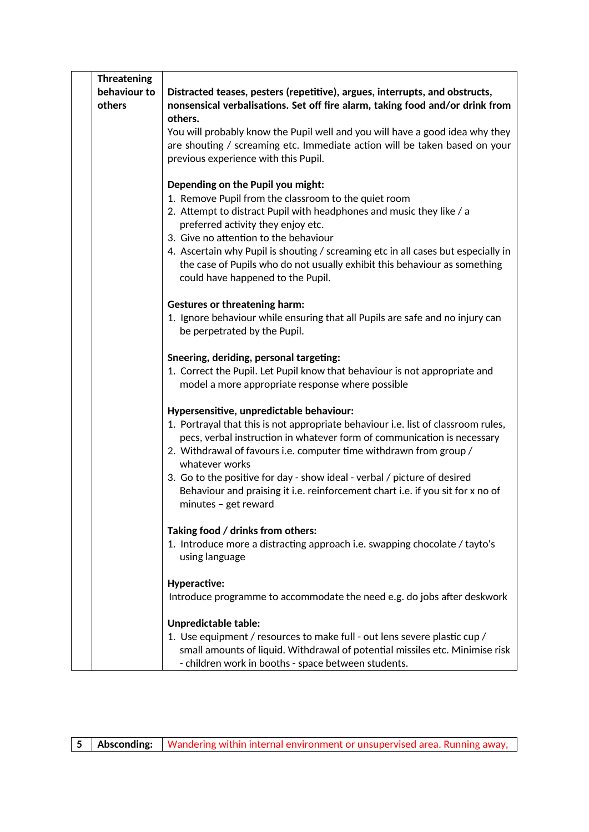| <b>Threatening</b>     |                                                                                                                                                                                                                                                                                                                                                                                                                                                                                        |
|------------------------|----------------------------------------------------------------------------------------------------------------------------------------------------------------------------------------------------------------------------------------------------------------------------------------------------------------------------------------------------------------------------------------------------------------------------------------------------------------------------------------|
| behaviour to<br>others | Distracted teases, pesters (repetitive), argues, interrupts, and obstructs,<br>nonsensical verbalisations. Set off fire alarm, taking food and/or drink from<br>others.                                                                                                                                                                                                                                                                                                                |
|                        | You will probably know the Pupil well and you will have a good idea why they<br>are shouting / screaming etc. Immediate action will be taken based on your<br>previous experience with this Pupil.                                                                                                                                                                                                                                                                                     |
|                        | Depending on the Pupil you might:<br>1. Remove Pupil from the classroom to the quiet room<br>2. Attempt to distract Pupil with headphones and music they like / a<br>preferred activity they enjoy etc.<br>3. Give no attention to the behaviour<br>4. Ascertain why Pupil is shouting / screaming etc in all cases but especially in<br>the case of Pupils who do not usually exhibit this behaviour as something<br>could have happened to the Pupil.                                |
|                        | <b>Gestures or threatening harm:</b><br>1. Ignore behaviour while ensuring that all Pupils are safe and no injury can<br>be perpetrated by the Pupil.                                                                                                                                                                                                                                                                                                                                  |
|                        | Sneering, deriding, personal targeting:<br>1. Correct the Pupil. Let Pupil know that behaviour is not appropriate and<br>model a more appropriate response where possible                                                                                                                                                                                                                                                                                                              |
|                        | Hypersensitive, unpredictable behaviour:<br>1. Portrayal that this is not appropriate behaviour i.e. list of classroom rules,<br>pecs, verbal instruction in whatever form of communication is necessary<br>2. Withdrawal of favours i.e. computer time withdrawn from group /<br>whatever works<br>3. Go to the positive for day - show ideal - verbal / picture of desired<br>Behaviour and praising it i.e. reinforcement chart i.e. if you sit for x no of<br>minutes - get reward |
|                        | Taking food / drinks from others:<br>1. Introduce more a distracting approach i.e. swapping chocolate / tayto's<br>using language                                                                                                                                                                                                                                                                                                                                                      |
|                        | <b>Hyperactive:</b><br>Introduce programme to accommodate the need e.g. do jobs after deskwork                                                                                                                                                                                                                                                                                                                                                                                         |
|                        | <b>Unpredictable table:</b><br>1. Use equipment / resources to make full - out lens severe plastic cup /<br>small amounts of liquid. Withdrawal of potential missiles etc. Minimise risk<br>- children work in booths - space between students.                                                                                                                                                                                                                                        |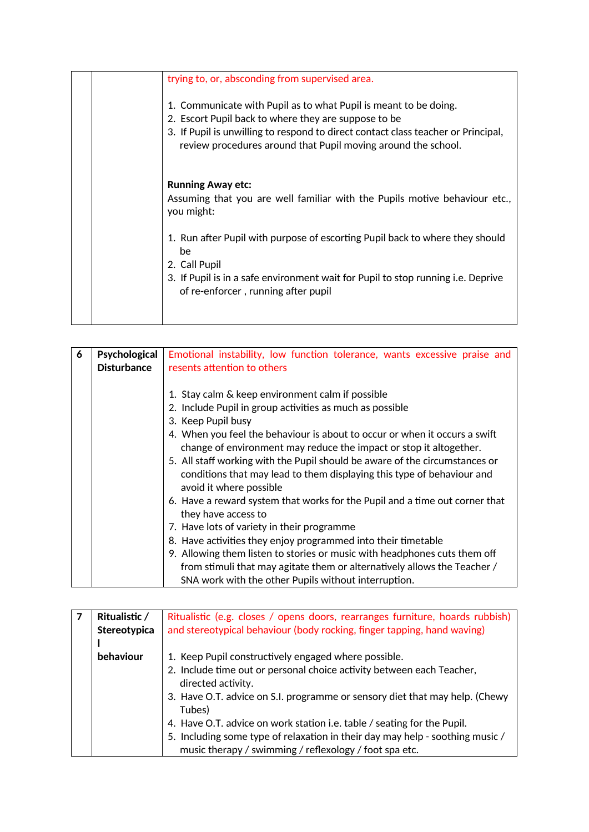| 1. Communicate with Pupil as to what Pupil is meant to be doing.<br>3. If Pupil is unwilling to respond to direct contact class teacher or Principal,<br>review procedures around that Pupil moving around the school. |
|------------------------------------------------------------------------------------------------------------------------------------------------------------------------------------------------------------------------|
| Assuming that you are well familiar with the Pupils motive behaviour etc.,                                                                                                                                             |
| 1. Run after Pupil with purpose of escorting Pupil back to where they should<br>3. If Pupil is in a safe environment wait for Pupil to stop running i.e. Deprive                                                       |
|                                                                                                                                                                                                                        |

| 6 | Psychological<br><b>Disturbance</b> | Emotional instability, low function tolerance, wants excessive praise and<br>resents attention to others                                                                                                                                                                                                                                                                                                                                                                                                                                                                                                                                                                                                                                                                                                                                                                                                         |
|---|-------------------------------------|------------------------------------------------------------------------------------------------------------------------------------------------------------------------------------------------------------------------------------------------------------------------------------------------------------------------------------------------------------------------------------------------------------------------------------------------------------------------------------------------------------------------------------------------------------------------------------------------------------------------------------------------------------------------------------------------------------------------------------------------------------------------------------------------------------------------------------------------------------------------------------------------------------------|
|   |                                     | 1. Stay calm & keep environment calm if possible<br>2. Include Pupil in group activities as much as possible<br>3. Keep Pupil busy<br>4. When you feel the behaviour is about to occur or when it occurs a swift<br>change of environment may reduce the impact or stop it altogether.<br>5. All staff working with the Pupil should be aware of the circumstances or<br>conditions that may lead to them displaying this type of behaviour and<br>avoid it where possible<br>6. Have a reward system that works for the Pupil and a time out corner that<br>they have access to<br>7. Have lots of variety in their programme<br>8. Have activities they enjoy programmed into their timetable<br>9. Allowing them listen to stories or music with headphones cuts them off<br>from stimuli that may agitate them or alternatively allows the Teacher /<br>SNA work with the other Pupils without interruption. |

| Ritualistic / | Ritualistic (e.g. closes / opens doors, rearranges furniture, hoards rubbish)                                                           |
|---------------|-----------------------------------------------------------------------------------------------------------------------------------------|
| Stereotypica  | and stereotypical behaviour (body rocking, finger tapping, hand waving)                                                                 |
|               |                                                                                                                                         |
| behaviour     | 1. Keep Pupil constructively engaged where possible.                                                                                    |
|               | 2. Include time out or personal choice activity between each Teacher,<br>directed activity.                                             |
|               | 3. Have O.T. advice on S.I. programme or sensory diet that may help. (Chewy<br>Tubes)                                                   |
|               | 4. Have O.T. advice on work station i.e. table / seating for the Pupil.                                                                 |
|               | 5. Including some type of relaxation in their day may help - soothing music /<br>music therapy / swimming / reflexology / foot spa etc. |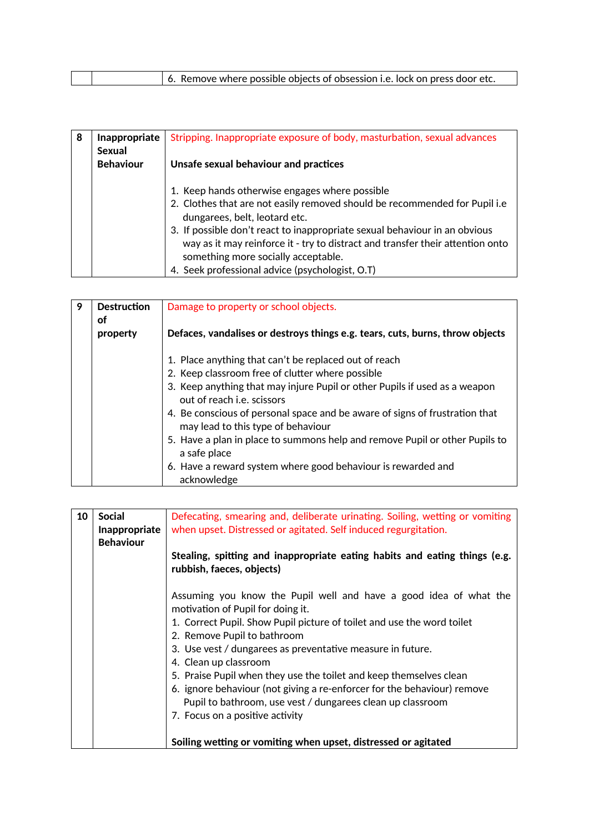| $\mid$ 6. Remove where possible objects of obsession i.e. lock on press door etc. |  |
|-----------------------------------------------------------------------------------|--|
|-----------------------------------------------------------------------------------|--|

| 8 | Inappropriate<br>Sexual | Stripping. Inappropriate exposure of body, masturbation, sexual advances       |
|---|-------------------------|--------------------------------------------------------------------------------|
|   | <b>Behaviour</b>        | Unsafe sexual behaviour and practices                                          |
|   |                         |                                                                                |
|   |                         | 1. Keep hands otherwise engages where possible                                 |
|   |                         | 2. Clothes that are not easily removed should be recommended for Pupil i.e     |
|   |                         | dungarees, belt, leotard etc.                                                  |
|   |                         | 3. If possible don't react to inappropriate sexual behaviour in an obvious     |
|   |                         | way as it may reinforce it - try to distract and transfer their attention onto |
|   |                         | something more socially acceptable.                                            |
|   |                         | 4. Seek professional advice (psychologist, O.T)                                |

| 9 | <b>Destruction</b><br>οf | Damage to property or school objects.                                                                             |
|---|--------------------------|-------------------------------------------------------------------------------------------------------------------|
|   | property                 | Defaces, vandalises or destroys things e.g. tears, cuts, burns, throw objects                                     |
|   |                          | 1. Place anything that can't be replaced out of reach                                                             |
|   |                          | 2. Keep classroom free of clutter where possible                                                                  |
|   |                          | 3. Keep anything that may injure Pupil or other Pupils if used as a weapon<br>out of reach i.e. scissors          |
|   |                          | 4. Be conscious of personal space and be aware of signs of frustration that<br>may lead to this type of behaviour |
|   |                          | 5. Have a plan in place to summons help and remove Pupil or other Pupils to<br>a safe place                       |
|   |                          | 6. Have a reward system where good behaviour is rewarded and<br>acknowledge                                       |

| 10 | <b>Social</b>    | Defecating, smearing and, deliberate urinating. Soiling, wetting or vomiting |
|----|------------------|------------------------------------------------------------------------------|
|    |                  |                                                                              |
|    | Inappropriate    | when upset. Distressed or agitated. Self induced regurgitation.              |
|    | <b>Behaviour</b> |                                                                              |
|    |                  | Stealing, spitting and inappropriate eating habits and eating things (e.g.   |
|    |                  | rubbish, faeces, objects)                                                    |
|    |                  |                                                                              |
|    |                  | Assuming you know the Pupil well and have a good idea of what the            |
|    |                  | motivation of Pupil for doing it.                                            |
|    |                  | 1. Correct Pupil. Show Pupil picture of toilet and use the word toilet       |
|    |                  | 2. Remove Pupil to bathroom                                                  |
|    |                  | 3. Use vest / dungarees as preventative measure in future.                   |
|    |                  | 4. Clean up classroom                                                        |
|    |                  | 5. Praise Pupil when they use the toilet and keep themselves clean           |
|    |                  | 6. ignore behaviour (not giving a re-enforcer for the behaviour) remove      |
|    |                  | Pupil to bathroom, use vest / dungarees clean up classroom                   |
|    |                  | 7. Focus on a positive activity                                              |
|    |                  |                                                                              |
|    |                  | Soiling wetting or vomiting when upset, distressed or agitated               |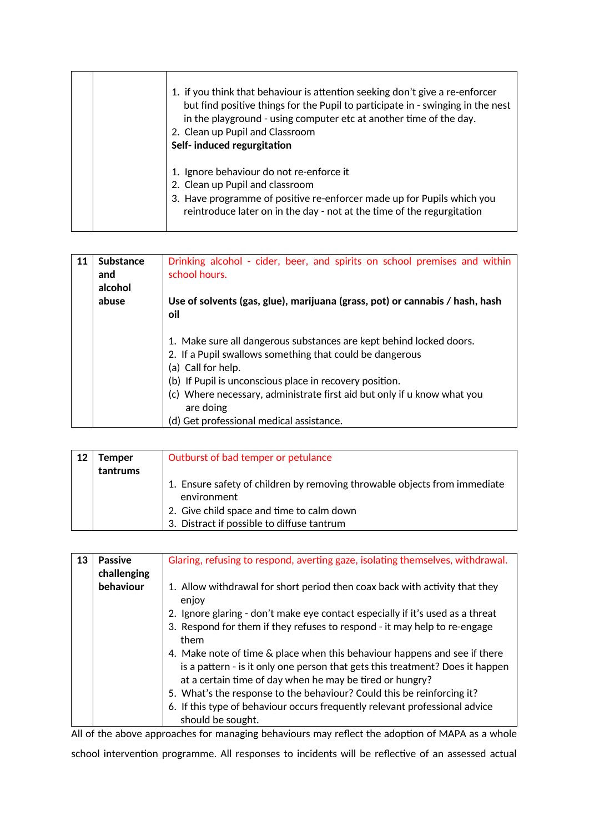| 1. If you think that behaviour is attention seeking don't give a re-enforcer<br>but find positive things for the Pupil to participate in - swinging in the nest<br>in the playground - using computer etc at another time of the day.<br>2. Clean up Pupil and Classroom<br>Self-induced regurgitation |
|--------------------------------------------------------------------------------------------------------------------------------------------------------------------------------------------------------------------------------------------------------------------------------------------------------|
| 1. Ignore behaviour do not re-enforce it<br>2. Clean up Pupil and classroom<br>3. Have programme of positive re-enforcer made up for Pupils which you<br>reintroduce later on in the day - not at the time of the regurgitation                                                                        |

| 11 | <b>Substance</b><br>and | Drinking alcohol - cider, beer, and spirits on school premises and within<br>school hours.                                                            |
|----|-------------------------|-------------------------------------------------------------------------------------------------------------------------------------------------------|
|    | alcohol<br>abuse        | Use of solvents (gas, glue), marijuana (grass, pot) or cannabis / hash, hash                                                                          |
|    |                         | oil                                                                                                                                                   |
|    |                         | 1. Make sure all dangerous substances are kept behind locked doors.<br>2. If a Pupil swallows something that could be dangerous<br>(a) Call for help. |
|    |                         | (b) If Pupil is unconscious place in recovery position.                                                                                               |
|    |                         | (c) Where necessary, administrate first aid but only if u know what you<br>are doing                                                                  |
|    |                         | (d) Get professional medical assistance.                                                                                                              |

| <b>Temper</b><br>tantrums | Outburst of bad temper or petulance                                                      |
|---------------------------|------------------------------------------------------------------------------------------|
|                           | 1. Ensure safety of children by removing throwable objects from immediate<br>environment |
|                           | 2. Give child space and time to calm down                                                |
|                           | 3. Distract if possible to diffuse tantrum                                               |

| 13 | <b>Passive</b><br>challenging | Glaring, refusing to respond, averting gaze, isolating themselves, withdrawal.                                                                                                                                         |
|----|-------------------------------|------------------------------------------------------------------------------------------------------------------------------------------------------------------------------------------------------------------------|
|    | behaviour                     | 1. Allow withdrawal for short period then coax back with activity that they<br>enjoy                                                                                                                                   |
|    |                               | 2. Ignore glaring - don't make eye contact especially if it's used as a threat                                                                                                                                         |
|    |                               | 3. Respond for them if they refuses to respond - it may help to re-engage<br>them                                                                                                                                      |
|    |                               | 4. Make note of time & place when this behaviour happens and see if there<br>is a pattern - is it only one person that gets this treatment? Does it happen<br>at a certain time of day when he may be tired or hungry? |
|    |                               | 5. What's the response to the behaviour? Could this be reinforcing it?                                                                                                                                                 |
|    |                               | 6. If this type of behaviour occurs frequently relevant professional advice                                                                                                                                            |
|    |                               | should be sought.                                                                                                                                                                                                      |

All of the above approaches for managing behaviours may reflect the adoption of MAPA as a whole school intervention programme. All responses to incidents will be reflective of an assessed actual